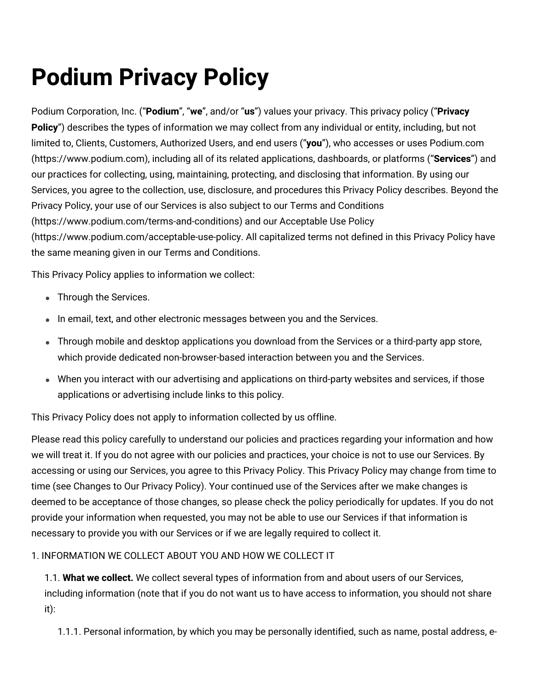# **Podium Privacy Policy**

Podium Corporation, Inc. ("**Podium**", "**we**", and/or "**us**") values your privacy. This privacy policy ("**Privacy Policy**") describes the types of information we may collect from any individual or entity, including, but not limited to, Clients, Customers, Authorized Users, and end users ("**you**"), who accesses or uses Podium.com [\(https://www.podium.com\)](https://www.podium.com/), including all of its related applications, dashboards, or platforms ("**Services**") and our practices for collecting, using, maintaining, protecting, and disclosing that information. By using our Services, you agree to the collection, use, disclosure, and procedures this Privacy Policy describes. Beyond the Privacy Policy, your use of our Services is also subject to our Terms and Conditions [\(https://www.podium.com/terms-and-conditions\)](https://www.podium.com/terms-and-conditions) and our Acceptable Use Policy (https://www.podium.com/acceptable-use-policy. All capitalized terms not defined in this Privacy Policy have the same meaning given in our Terms and [Conditions.](https://www.podium.com/terms-and-conditions)

This Privacy Policy applies to information we collect:

- Through the Services.
- In email, text, and other electronic messages between you and the Services.
- Through mobile and desktop applications you download from the Services or a third-party app store, which provide dedicated non-browser-based interaction between you and the Services.
- When you interact with our advertising and applications on third-party websites and services, if those applications or advertising include links to this policy.

This Privacy Policy does not apply to information collected by us offline.

Please read this policy carefully to understand our policies and practices regarding your information and how we will treat it. If you do not agree with our policies and practices, your choice is not to use our Services. By accessing or using our Services, you agree to this Privacy Policy. This Privacy Policy may change from time to time (see [Changes](#bookmark=id.3j2qqm3) to Our Privacy Policy). Your continued use of the Services after we make changes is deemed to be acceptance of those changes, so please check the policy periodically for updates. If you do not provide your information when requested, you may not be able to use our Services if that information is necessary to provide you with our Services or if we are legally required to collect it.

## 1. INFORMATION WE COLLECT ABOUT YOU AND HOW WE COLLECT IT

1.1. **What we collect.** We collect several types of information from and about users of our Services, including information (note that if you do not want us to have access to information, you should not share it):

1.1.1. Personal information, by which you may be personally identified, such as name, postal address, e-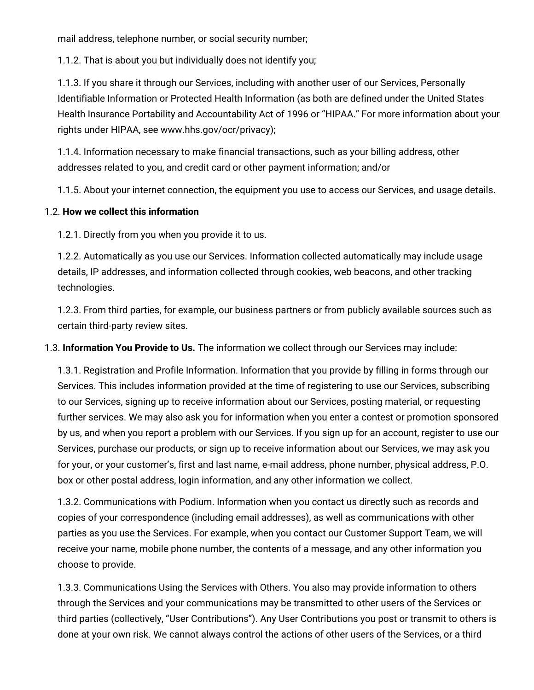mail address, telephone number, or social security number;

1.1.2. That is about you but individually does not identify you;

1.1.3. If you share it through our Services, including with another user of our Services, Personally Identifiable Information or Protected Health Information (as both are defined under the United States Health Insurance Portability and Accountability Act of 1996 or "HIPAA." For more information about your rights under HIPAA, see www.hhs.gov/ocr/privacy);

1.1.4. Information necessary to make financial transactions, such as your billing address, other addresses related to you, and credit card or other payment information; and/or

1.1.5. About your internet connection, the equipment you use to access our Services, and usage details.

## 1.2. **How we collect this information**

1.2.1. Directly from you when you provide it to us.

1.2.2. Automatically as you use our Services. Information collected automatically may include usage details, IP addresses, and information collected through cookies, web beacons, and other tracking technologies.

1.2.3. From third parties, for example, our business partners or from publicly available sources such as certain third-party review sites.

1.3. **Information You Provide to Us.** The information we collect through our Services may include:

1.3.1. Registration and Profile Information. Information that you provide by filling in forms through our Services. This includes information provided at the time of registering to use our Services, subscribing to our Services, signing up to receive information about our Services, posting material, or requesting further services. We may also ask you for information when you enter a contest or promotion sponsored by us, and when you report a problem with our Services. If you sign up for an account, register to use our Services, purchase our products, or sign up to receive information about our Services, we may ask you for your, or your customer's, first and last name, e-mail address, phone number, physical address, P.O. box or other postal address, login information, and any other information we collect.

1.3.2. Communications with Podium. Information when you contact us directly such as records and copies of your correspondence (including email addresses), as well as communications with other parties as you use the Services. For example, when you contact our Customer Support Team, we will receive your name, mobile phone number, the contents of a message, and any other information you choose to provide.

1.3.3. Communications Using the Services with Others. You also may provide information to others through the Services and your communications may be transmitted to other users of the Services or third parties (collectively, "User Contributions"). Any User Contributions you post or transmit to others is done at your own risk. We cannot always control the actions of other users of the Services, or a third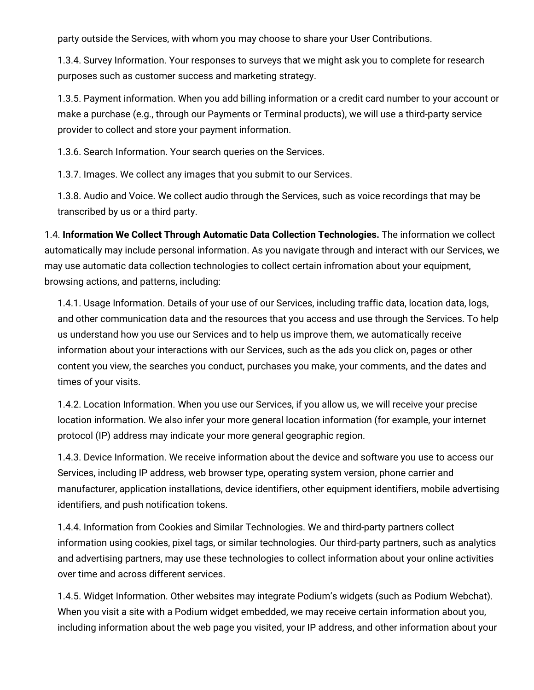party outside the Services, with whom you may choose to share your User Contributions.

1.3.4. Survey Information. Your responses to surveys that we might ask you to complete for research purposes such as customer success and marketing strategy.

1.3.5. Payment information. When you add billing information or a credit card number to your account or make a purchase (e.g., through our Payments or Terminal products), we will use a third-party service provider to collect and store your payment information.

1.3.6. Search Information. Your search queries on the Services.

1.3.7. Images. We collect any images that you submit to our Services.

1.3.8. Audio and Voice. We collect audio through the Services, such as voice recordings that may be transcribed by us or a third party.

1.4. **Information We Collect Through Automatic Data Collection Technologies.** The information we collect automatically may include personal information. As you navigate through and interact with our Services, we may use automatic data collection technologies to collect certain infromation about your equipment, browsing actions, and patterns, including:

1.4.1. Usage Information. Details of your use of our Services, including traffic data, location data, logs, and other communication data and the resources that you access and use through the Services. To help us understand how you use our Services and to help us improve them, we automatically receive information about your interactions with our Services, such as the ads you click on, pages or other content you view, the searches you conduct, purchases you make, your comments, and the dates and times of your visits.

1.4.2. Location Information. When you use our Services, if you allow us, we will receive your precise location information. We also infer your more general location information (for example, your internet protocol (IP) address may indicate your more general geographic region.

1.4.3. Device Information. We receive information about the device and software you use to access our Services, including IP address, web browser type, operating system version, phone carrier and manufacturer, application installations, device identifiers, other equipment identifiers, mobile advertising identifiers, and push notification tokens.

1.4.4. Information from Cookies and Similar Technologies. We and third-party partners collect information using cookies, pixel tags, or similar technologies. Our third-party partners, such as analytics and advertising partners, may use these technologies to collect information about your online activities over time and across different services.

1.4.5. Widget Information. Other websites may integrate Podium's widgets (such as Podium Webchat). When you visit a site with a Podium widget embedded, we may receive certain information about you, including information about the web page you visited, your IP address, and other information about your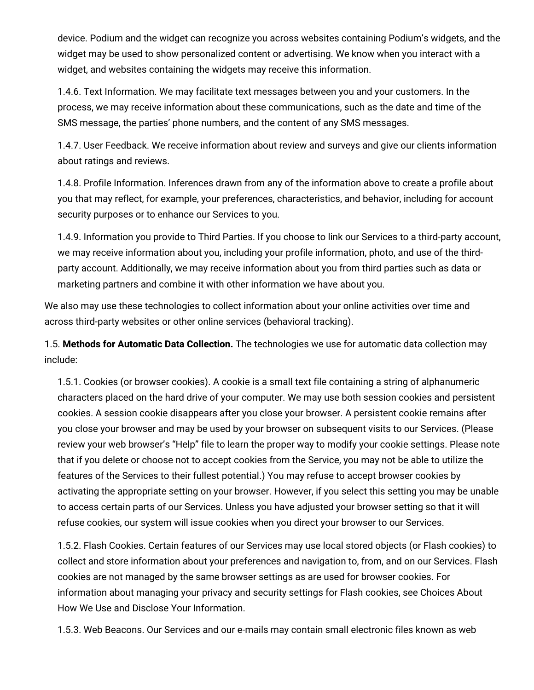device. Podium and the widget can recognize you across websites containing Podium's widgets, and the widget may be used to show personalized content or advertising. We know when you interact with a widget, and websites containing the widgets may receive this information.

1.4.6. Text Information. We may facilitate text messages between you and your customers. In the process, we may receive information about these communications, such as the date and time of the SMS message, the parties' phone numbers, and the content of any SMS messages.

1.4.7. User Feedback. We receive information about review and surveys and give our clients information about ratings and reviews.

1.4.8. Profile Information. Inferences drawn from any of the information above to create a profile about you that may reflect, for example, your preferences, characteristics, and behavior, including for account security purposes or to enhance our Services to you.

1.4.9. Information you provide to Third Parties. If you choose to link our Services to a third-party account, we may receive information about you, including your profile information, photo, and use of the thirdparty account. Additionally, we may receive information about you from third parties such as data or marketing partners and combine it with other information we have about you.

We also may use these technologies to collect information about your online activities over time and across third-party websites or other online services (behavioral tracking).

1.5. **Methods for Automatic Data Collection.** The technologies we use for automatic data collection may include:

1.5.1. Cookies (or browser cookies). A cookie is a small text file containing a string of alphanumeric characters placed on the hard drive of your computer. We may use both session cookies and persistent cookies. A session cookie disappears after you close your browser. A persistent cookie remains after you close your browser and may be used by your browser on subsequent visits to our Services. (Please review your web browser's "Help" file to learn the proper way to modify your cookie settings. Please note that if you delete or choose not to accept cookies from the Service, you may not be able to utilize the features of the Services to their fullest potential.) You may refuse to accept browser cookies by activating the appropriate setting on your browser. However, if you select this setting you may be unable to access certain parts of our Services. Unless you have adjusted your browser setting so that it will refuse cookies, our system will issue cookies when you direct your browser to our Services.

1.5.2. Flash Cookies. Certain features of our Services may use local stored objects (or Flash cookies) to collect and store information about your preferences and navigation to, from, and on our Services. Flash cookies are not managed by the same browser settings as are used for browser cookies. For information about managing your privacy and security settings for Flash cookies, see Choices About How We Use and Disclose Your [Information.](https://docs.google.com/document/d/1obRvOijtvsX3Mm4-vTAILZDcFZGsJlt8/edit#bookmark=id.3rdcrjn)

1.5.3. Web Beacons. Our Services and our e-mails may contain small electronic files known as web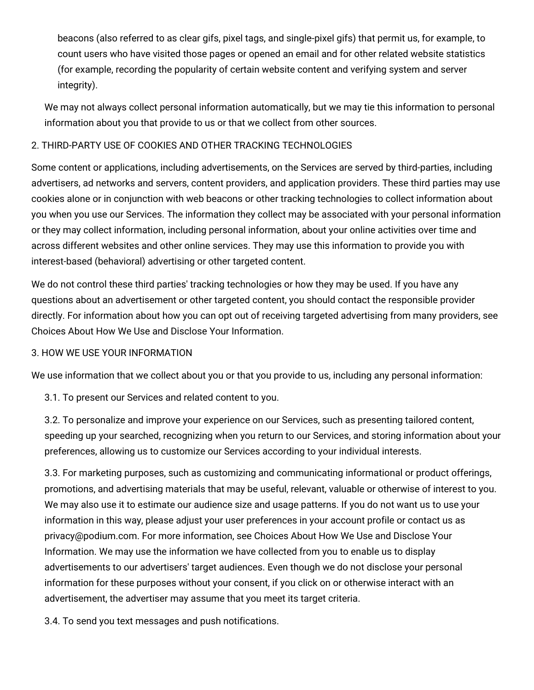beacons (also referred to as clear gifs, pixel tags, and single-pixel gifs) that permit us, for example, to count users who have visited those pages or opened an email and for other related website statistics (for example, recording the popularity of certain website content and verifying system and server integrity).

We may not always collect personal information automatically, but we may tie this information to personal information about you that provide to us or that we collect from other sources.

## 2. THIRD-PARTY USE OF COOKIES AND OTHER TRACKING TECHNOLOGIES

Some content or applications, including advertisements, on the Services are served by third-parties, including advertisers, ad networks and servers, content providers, and application providers. These third parties may use cookies alone or in conjunction with web beacons or other tracking technologies to collect information about you when you use our Services. The information they collect may be associated with your personal information or they may collect information, including personal information, about your online activities over time and across different websites and other online services. They may use this information to provide you with interest-based (behavioral) advertising or other targeted content.

We do not control these third parties' tracking technologies or how they may be used. If you have any questions about an advertisement or other targeted content, you should contact the responsible provider directly. For information about how you can opt out of receiving targeted advertising from many providers, see Choices About How We Use and Disclose Your Information.

## 3. HOW WE USE YOUR INFORMATION

We use information that we collect about you or that you provide to us, including any personal information:

3.1. To present our Services and related content to you.

3.2. To personalize and improve your experience on our Services, such as presenting tailored content, speeding up your searched, recognizing when you return to our Services, and storing information about your preferences, allowing us to customize our Services according to your individual interests.

3.3. For marketing purposes, such as customizing and communicating informational or product offerings, promotions, and advertising materials that may be useful, relevant, valuable or otherwise of interest to you. We may also use it to estimate our audience size and usage patterns. If you do not want us to use your information in this way, please adjust your user preferences in your account profile or contact us as [privacy@podium.com.](https://docs.google.com/document/d/1obRvOijtvsX3Mm4-vTAILZDcFZGsJlt8/edit#bookmark=id.3rdcrjn) For more information, see Choices About How We Use and Disclose Your Information. We may use the information we have collected from you to enable us to display advertisements to our advertisers' target audiences. Even though we do not disclose your personal information for these purposes without your consent, if you click on or otherwise interact with an advertisement, the advertiser may assume that you meet its target criteria.

3.4. To send you text messages and push notifications.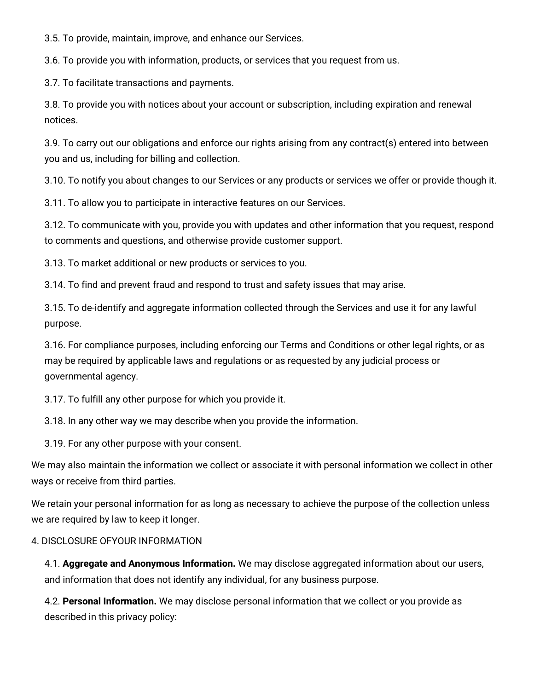3.5. To provide, maintain, improve, and enhance our Services.

3.6. To provide you with information, products, or services that you request from us.

3.7. To facilitate transactions and payments.

3.8. To provide you with notices about your account or subscription, including expiration and renewal notices.

3.9. To carry out our obligations and enforce our rights arising from any contract(s) entered into between you and us, including for billing and collection.

3.10. To notify you about changes to our Services or any products or services we offer or provide though it.

3.11. To allow you to participate in interactive features on our Services.

3.12. To communicate with you, provide you with updates and other information that you request, respond to comments and questions, and otherwise provide customer support.

3.13. To market additional or new products or services to you.

3.14. To find and prevent fraud and respond to trust and safety issues that may arise.

3.15. To de-identify and aggregate information collected through the Services and use it for any lawful purpose.

3.16. For compliance purposes, including enforcing our Terms and [Conditions](https://www.podium.com/terms-and-conditions/) or other legal rights, or as may be required by applicable laws and regulations or as requested by any judicial process or governmental agency.

3.17. To fulfill any other purpose for which you provide it.

3.18. In any other way we may describe when you provide the information.

3.19. For any other purpose with your consent.

We may also maintain the information we collect or associate it with personal information we collect in other ways or receive from third parties.

We retain your personal information for as long as necessary to achieve the purpose of the collection unless we are required by law to keep it longer.

#### 4. DISCLOSURE OFYOUR INFORMATION

4.1. **Aggregate and Anonymous Information.** We may disclose aggregated information about our users, and information that does not identify any individual, for any business purpose.

4.2. **Personal Information.** We may disclose personal information that we collect or you provide as described in this privacy policy: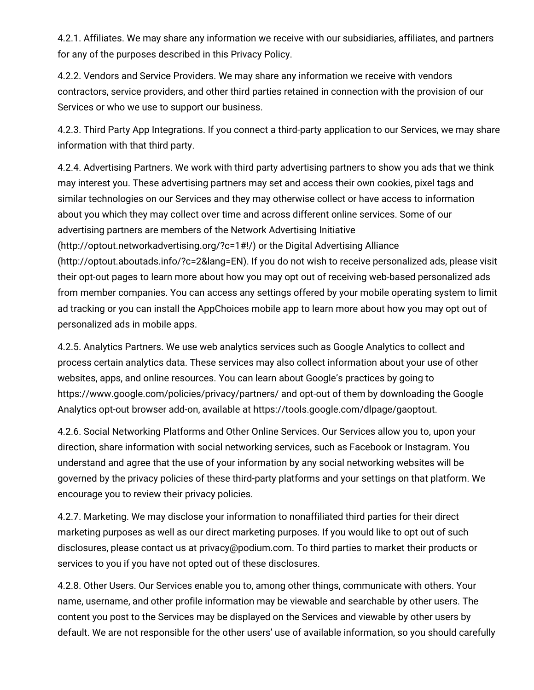4.2.1. Affiliates. We may share any information we receive with our subsidiaries, affiliates, and partners for any of the purposes described in this Privacy Policy.

4.2.2. Vendors and Service Providers. We may share any information we receive with vendors contractors, service providers, and other third parties retained in connection with the provision of our Services or who we use to support our business.

4.2.3. Third Party App Integrations. If you connect a third-party application to our Services, we may share information with that third party.

4.2.4. Advertising Partners. We work with third party advertising partners to show you ads that we think may interest you. These advertising partners may set and access their own cookies, pixel tags and similar technologies on our Services and they may otherwise collect or have access to information about you which they may collect over time and across different online services. Some of our advertising partners are members of the Network Advertising Initiative (http://optout.networkadvertising.org/?c=1#!/) or the Digital Advertising Alliance

(http://optout.aboutads.info/?c=2&lang=EN). If you do not wish to receive personalized ads, please visit their opt-out pages to learn more about how you may opt out of receiving web-based personalized ads from member companies. You can access any settings offered by your mobile operating system to limit ad tracking or you can install the AppChoices mobile app to learn more about how you may opt out of personalized ads in mobile apps.

4.2.5. Analytics Partners. We use web analytics services such as Google Analytics to collect and process certain analytics data. These services may also collect information about your use of other websites, apps, and online resources. You can learn about Google's practices by going to https://www.google.com/policies/privacy/partners/ and opt-out of them by downloading the Google Analytics opt-out browser add-on, available at [https://tools.google.com/dlpage/gaoptout.](https://tools.google.com/dlpage/gaoptout)

4.2.6. Social Networking Platforms and Other Online Services. Our Services allow you to, upon your direction, share information with social networking services, such as Facebook or Instagram. You understand and agree that the use of your information by any social networking websites will be governed by the privacy policies of these third-party platforms and your settings on that platform. We encourage you to review their privacy policies.

4.2.7. Marketing. We may disclose your information to nonaffiliated third parties for their direct marketing purposes as well as our direct marketing purposes. If you would like to opt out of such disclosures, please contact us at [privacy@podium.com.](mailto:privacy@podium.com) To third parties to market their products or services to you if you have not opted out of these disclosures.

4.2.8. Other Users. Our Services enable you to, among other things, communicate with others. Your name, username, and other profile information may be viewable and searchable by other users. The content you post to the Services may be displayed on the Services and viewable by other users by default. We are not responsible for the other users' use of available information, so you should carefully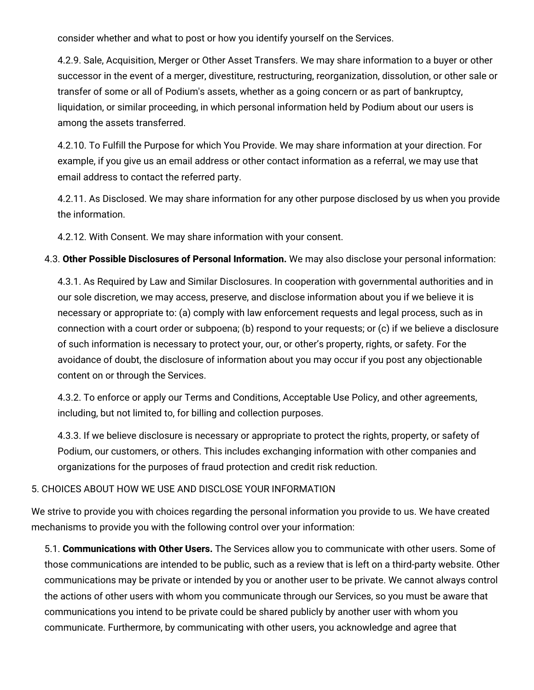consider whether and what to post or how you identify yourself on the Services.

4.2.9. Sale, Acquisition, Merger or Other Asset Transfers. We may share information to a buyer or other successor in the event of a merger, divestiture, restructuring, reorganization, dissolution, or other sale or transfer of some or all of Podium's assets, whether as a going concern or as part of bankruptcy, liquidation, or similar proceeding, in which personal information held by Podium about our users is among the assets transferred.

4.2.10. To Fulfill the Purpose for which You Provide. We may share information at your direction. For example, if you give us an email address or other contact information as a referral, we may use that email address to contact the referred party.

4.2.11. As Disclosed. We may share information for any other purpose disclosed by us when you provide the information.

4.2.12. With Consent. We may share information with your consent.

4.3. **Other Possible Disclosures of Personal Information.** We may also disclose your personal information:

4.3.1. As Required by Law and Similar Disclosures. In cooperation with governmental authorities and in our sole discretion, we may access, preserve, and disclose information about you if we believe it is necessary or appropriate to: (a) comply with law enforcement requests and legal process, such as in connection with a court order or subpoena; (b) respond to your requests; or (c) if we believe a disclosure of such information is necessary to protect your, our, or other's property, rights, or safety. For the avoidance of doubt, the disclosure of information about you may occur if you post any objectionable content on or through the Services.

4.3.2. To enforce or apply our Terms and [Conditions,](https://www.podium.com/terms-and-conditions/) Acceptable Use Policy, and other agreements, including, but not limited to, for billing and collection purposes.

4.3.3. If we believe disclosure is necessary or appropriate to protect the rights, property, or safety of Podium, our customers, or others. This includes exchanging information with other companies and organizations for the purposes of fraud protection and credit risk reduction.

## 5. CHOICES ABOUT HOW WE USE AND DISCLOSE YOUR INFORMATION

We strive to provide you with choices regarding the personal information you provide to us. We have created mechanisms to provide you with the following control over your information:

5.1. **Communications with Other Users.** The Services allow you to communicate with other users. Some of those communications are intended to be public, such as a review that is left on a third-party website. Other communications may be private or intended by you or another user to be private. We cannot always control the actions of other users with whom you communicate through our Services, so you must be aware that communications you intend to be private could be shared publicly by another user with whom you communicate. Furthermore, by communicating with other users, you acknowledge and agree that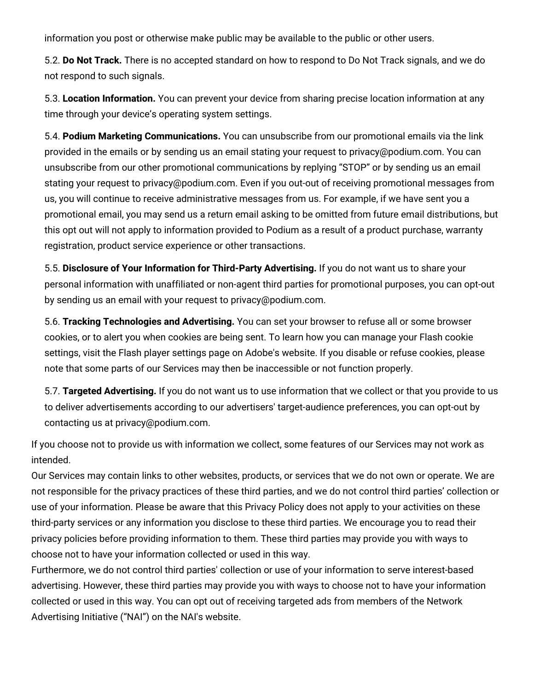information you post or otherwise make public may be available to the public or other users.

5.2. **Do Not Track.** There is no accepted standard on how to respond to Do Not Track signals, and we do not respond to such signals.

5.3. **Location Information.** You can prevent your device from sharing precise location information at any time through your device's operating system settings.

5.4. **Podium Marketing Communications.** You can unsubscribe from our promotional emails via the link provided in the emails or by sending us an email stating your request to privacy@podium.com. You can unsubscribe from our other promotional communications by replying "STOP" or by sending us an email stating your request to [privacy@podium.com.](mailto:privacy@podium.com) Even if you out-out of receiving promotional messages from us, you will continue to receive administrative messages from us. For example, if we have sent you a promotional email, you may send us a return email asking to be omitted from future email distributions, but this opt out will not apply to information provided to Podium as a result of a product purchase, warranty registration, product service experience or other transactions.

5.5. **Disclosure of Your Information for Third-Party Advertising.** If you do not want us to share your personal information with unaffiliated or non-agent third parties for promotional purposes, you can opt-out by sending us an email with your request to privacy@podium.com.

5.6. **Tracking Technologies and Advertising.** You can set your browser to refuse all or some browser cookies, or to alert you when cookies are being sent. To learn how you can manage your Flash cookie settings, visit the Flash player settings page on Adobe's website. If you disable or refuse cookies, please note that some parts of our Services may then be inaccessible or not function properly.

5.7. **Targeted Advertising.** If you do not want us to use information that we collect or that you provide to us to deliver advertisements according to our advertisers' target-audience preferences, you can opt-out by contacting us at [privacy@podium.com.](mailto:privacy@podium.com)

If you choose not to provide us with information we collect, some features of our Services may not work as intended.

Our Services may contain links to other websites, products, or services that we do not own or operate. We are not responsible for the privacy practices of these third parties, and we do not control third parties' collection or use of your information. Please be aware that this Privacy Policy does not apply to your activities on these third-party services or any information you disclose to these third parties. We encourage you to read their privacy policies before providing information to them. These third parties may provide you with ways to choose not to have your information collected or used in this way.

Furthermore, we do not control third parties' collection or use of your information to serve interest-based advertising. However, these third parties may provide you with ways to choose not to have your information collected or used in this way. You can opt out of receiving targeted ads from members of the Network Advertising Initiative ("NAI") on the NAI's website.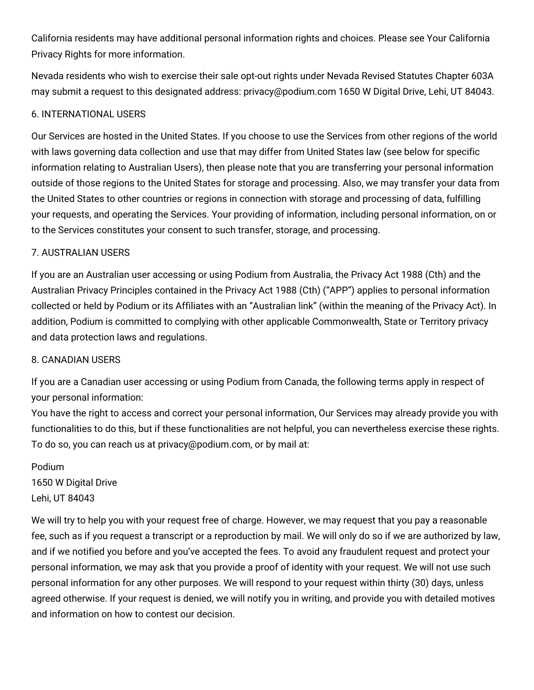California residents may have additional personal information rights and choices. Please see Your California Privacy Rights for more information.

Nevada residents who wish to exercise their sale opt-out rights under Nevada Revised Statutes Chapter 603A may submit a request to this designated address: privacy@podium.com 1650 W Digital Drive, Lehi, UT 84043.

# 6. INTERNATIONAL USERS

Our Services are hosted in the United States. If you choose to use the Services from other regions of the world with laws governing data collection and use that may differ from United States law (see below for specific information relating to Australian Users), then please note that you are transferring your personal information outside of those regions to the United States for storage and processing. Also, we may transfer your data from the United States to other countries or regions in connection with storage and processing of data, fulfilling your requests, and operating the Services. Your providing of information, including personal information, on or to the Services constitutes your consent to such transfer, storage, and processing.

# 7. AUSTRALIAN USERS

If you are an Australian user accessing or using Podium from Australia, the Privacy Act 1988 (Cth) and the Australian Privacy Principles contained in the Privacy Act 1988 (Cth) ("APP") applies to personal information collected or held by Podium or its Affiliates with an "Australian link" (within the meaning of the Privacy Act). In addition, Podium is committed to complying with other applicable Commonwealth, State or Territory privacy and data protection laws and regulations.

## 8. CANADIAN USERS

If you are a Canadian user accessing or using Podium from Canada, the following terms apply in respect of your personal information:

You have the right to access and correct your personal information, Our Services may already provide you with functionalities to do this, but if these functionalities are not helpful, you can nevertheless exercise these rights. To do so, you can reach us at privacy@podium.com, or by mail at:

Podium 1650 W Digital Drive Lehi, UT 84043

We will try to help you with your request free of charge. However, we may request that you pay a reasonable fee, such as if you request a transcript or a reproduction by mail. We will only do so if we are authorized by law, and if we notified you before and you've accepted the fees. To avoid any fraudulent request and protect your personal information, we may ask that you provide a proof of identity with your request. We will not use such personal information for any other purposes. We will respond to your request within thirty (30) days, unless agreed otherwise. If your request is denied, we will notify you in writing, and provide you with detailed motives and information on how to contest our decision.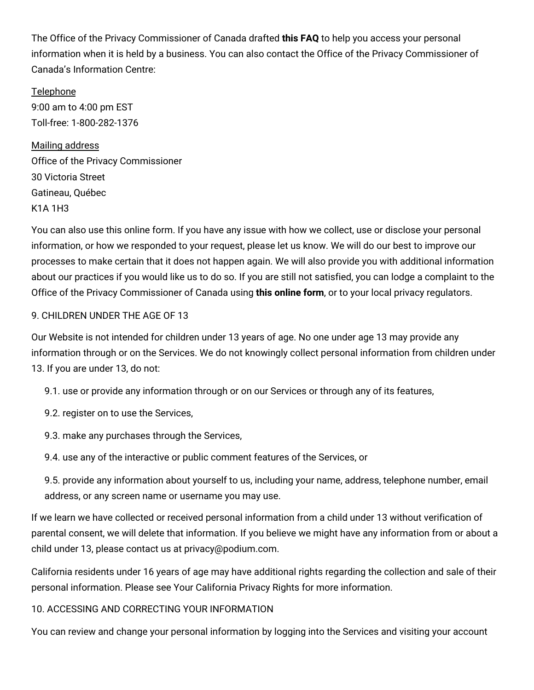The Office of the Privacy Commissioner of Canada drafted **this [FAQ](https://www.priv.gc.ca/en/)** to help you access your personal information when it is held by a business. You can also contact the Office of the Privacy Commissioner of Canada's Information Centre:

Telephone 9:00 am to 4:00 pm EST Toll-free: 1-800-282-1376

Mailing address Office of the Privacy Commissioner 30 Victoria Street Gatineau, Québec K1A 1H3

You can also use this online form. If you have any issue with how we collect, use or disclose your personal information, or how we responded to your request, please let us know. We will do our best to improve our processes to make certain that it does not happen again. We will also provide you with additional information about our practices if you would like us to do so. If you are still not satisfied, you can lodge a complaint to the Office of the Privacy Commissioner of Canada using **this [online](https://www.priv.gc.ca/en/report-a-concern/file-a-formal-privacy-complaint/) form**, or to your local privacy regulators.

# 9. CHILDREN UNDER THE AGE OF 13

Our Website is not intended for children under 13 years of age. No one under age 13 may provide any information through or on the Services. We do not knowingly collect personal information from children under 13. If you are under 13, do not:

- 9.1. use or provide any information through or on our Services or through any of its features,
- 9.2. register on to use the Services,
- 9.3. make any purchases through the Services,
- 9.4. use any of the interactive or public comment features of the Services, or
- 9.5. provide any information about yourself to us, including your name, address, telephone number, email address, or any screen name or username you may use.

If we learn we have collected or received personal information from a child under 13 without verification of parental consent, we will delete that information. If you believe we might have any information from or about a child under 13, please contact us at [privacy@podium.com.](mailto:privacy@podium.com)

California residents under 16 years of age may have additional rights regarding the collection and sale of their personal information. Please see Your [California](https://docs.google.com/document/d/1obRvOijtvsX3Mm4-vTAILZDcFZGsJlt8/edit#bookmark=id.2jxsxqh) Privacy Rights for more information.

## 10. ACCESSING AND CORRECTING YOUR INFORMATION

You can review and change your personal information by logging into the Services and visiting your account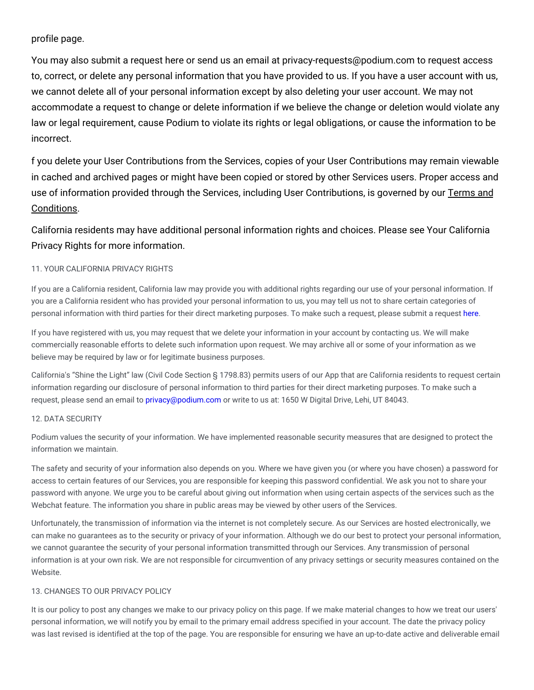#### profile page.

You may also submit a request [here](https://preferences.podium.com/privacy) or send us an email at [privacy-requests@podium.com](mailto:privacy-requests@podium.com) to request access to, correct, or delete any personal information that you have provided to us. If you have a user account with us, we cannot delete all of your personal information except by also deleting your user account. We may not accommodate a request to change or delete information if we believe the change or deletion would violate any law or legal requirement, cause Podium to violate its rights or legal obligations, or cause the information to be incorrect.

f you delete your User Contributions from the Services, copies of your User Contributions may remain viewable in cached and archived pages or might have been copied or stored by other Services users. Proper access and use of information provided through the Services, including User [Contributions,](https://legal.podium.com/#termsofservice-us) is governed by our Terms and Conditions.

California residents may have additional personal information rights and choices. Please see Your California Privacy Rights for more [information.](https://docs.google.com/document/d/1obRvOijtvsX3Mm4-vTAILZDcFZGsJlt8/edit#bookmark=id.2jxsxqh)

#### 11. YOUR CALIFORNIA PRIVACY RIGHTS

If you are a California resident, California law may provide you with additional rights regarding our use of your personal information. If you are a California resident who has provided your personal information to us, you may tell us not to share certain categories of personal information with third parties for their direct marketing purposes. To make such a request, please submit a request [here.](https://www.requesteasy.com/5dfe-1057)

If you have registered with us, you may request that we delete your information in your account by contacting us. We will make commercially reasonable efforts to delete such information upon request. We may archive all or some of your information as we believe may be required by law or for legitimate business purposes.

California's "Shine the Light" law (Civil Code Section § 1798.83) permits users of our App that are California residents to request certain information regarding our disclosure of personal information to third parties for their direct marketing purposes. To make such a request, please send an email to [privacy@podium.com](mailto:privacy@podium.com) or write to us at: 1650 W Digital Drive, Lehi, UT 84043.

#### 12. DATA SECURITY

Podium values the security of your information. We have implemented reasonable security measures that are designed to protect the information we maintain.

The safety and security of your information also depends on you. Where we have given you (or where you have chosen) a password for access to certain features of our Services, you are responsible for keeping this password confidential. We ask you not to share your password with anyone. We urge you to be careful about giving out information when using certain aspects of the services such as the Webchat feature. The information you share in public areas may be viewed by other users of the Services.

Unfortunately, the transmission of information via the internet is not completely secure. As our Services are hosted electronically, we can make no guarantees as to the security or privacy of your information. Although we do our best to protect your personal information, we cannot guarantee the security of your personal information transmitted through our Services. Any transmission of personal information is at your own risk. We are not responsible for circumvention of any privacy settings or security measures contained on the Website.

#### 13. CHANGES TO OUR PRIVACY POLICY

It is our policy to post any changes we make to our privacy policy on this page. If we make material changes to how we treat our users' personal information, we will notify you by email to the primary email address specified in your account. The date the privacy policy was last revised is identified at the top of the page. You are responsible for ensuring we have an up-to-date active and deliverable email